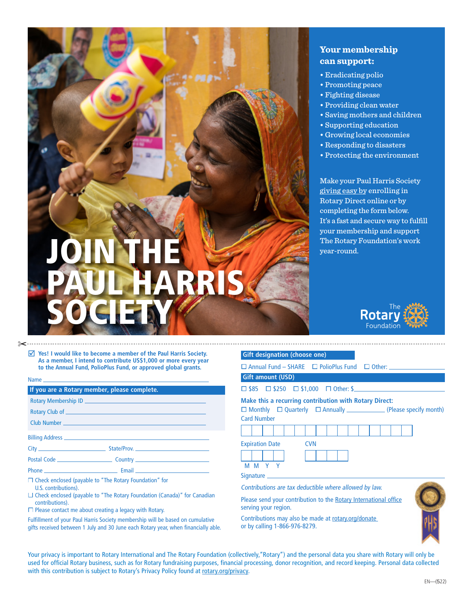# JOIN THE PAUL HARRIS SOCIETY

# **Your membership can support:**

- Eradicating polio
- Promoting peace
- Fighting disease
- Providing clean water
- Saving mothers and children
- Supporting education
- Growing local economies
- Responding to disasters
- Protecting the environment

Make your Paul Harris Society [giving easy by](https://my.rotary.org/en/rotary-direct) enrolling in Rotary Direct online or by completing the form below. It's a fast and secure way to fulfill your membership and support The Rotary Foundation's work year-round.



## ✂

þ **Yes! I would like to become a member of the Paul Harris Society. As a member, I intend to contribute US\$1,000 or more every year to the Annual Fund, PolioPlus Fund, or approved global grants.**

|  | _____ |  |
|--|-------|--|

| If you are a Rotary member, please complete.                                                                                                                                                                                    |  |
|---------------------------------------------------------------------------------------------------------------------------------------------------------------------------------------------------------------------------------|--|
|                                                                                                                                                                                                                                 |  |
|                                                                                                                                                                                                                                 |  |
|                                                                                                                                                                                                                                 |  |
|                                                                                                                                                                                                                                 |  |
|                                                                                                                                                                                                                                 |  |
|                                                                                                                                                                                                                                 |  |
|                                                                                                                                                                                                                                 |  |
| $\Box$ and it is the state of the state of the state of the state of the state of the state of the state of the state of the state of the state of the state of the state of the state of the state of the state of the state o |  |

| □ Check enclosed (payable to "The Rotary Foundation" for |  |  |
|----------------------------------------------------------|--|--|

U.S. contributions).

 $\Box$  Check enclosed (payable to "The Rotary Foundation (Canada)" for Canadian contributions).

 $\Box$  Please contact me about creating a legacy with Rotary.

Fulfillment of your Paul Harris Society membership will be based on cumulative gifts received between 1 July and 30 June each Rotary year, when financially able.

| <b>Gift designation (choose one)</b>                                                     |  |  |  |  |
|------------------------------------------------------------------------------------------|--|--|--|--|
| $\Box$ Annual Fund – SHARE $\Box$ PolioPlus Fund $\Box$ Other: $\Box$                    |  |  |  |  |
| <b>Gift amount (USD)</b>                                                                 |  |  |  |  |
| $\Box$ \$85 $\Box$ \$250 $\Box$ \$1,000 $\Box$ Other: \$                                 |  |  |  |  |
| <b>Make this a recurring contribution with Rotary Direct:</b><br><b>Card Number</b>      |  |  |  |  |
|                                                                                          |  |  |  |  |
| <b>Expiration Date</b><br><b>CVN</b><br>M M Y Y                                          |  |  |  |  |
|                                                                                          |  |  |  |  |
| Contributions are tax deductible where allowed by law.                                   |  |  |  |  |
| Please send your contribution to the Rotary International office<br>serving your region. |  |  |  |  |
| Contributions may also be made at rotary.org/donate<br>or by calling 1-866-976-8279.     |  |  |  |  |

Your privacy is important to Rotary International and The Rotary Foundation (collectively,"Rotary") and the personal data you share with Rotary will only be used for official Rotary business, such as for Rotary fundraising purposes, financial processing, donor recognition, and record keeping. Personal data collected with this contribution is subject to Rotary's Privacy Policy found at [rotary.org/privacy](http://rotary.org/privacy).